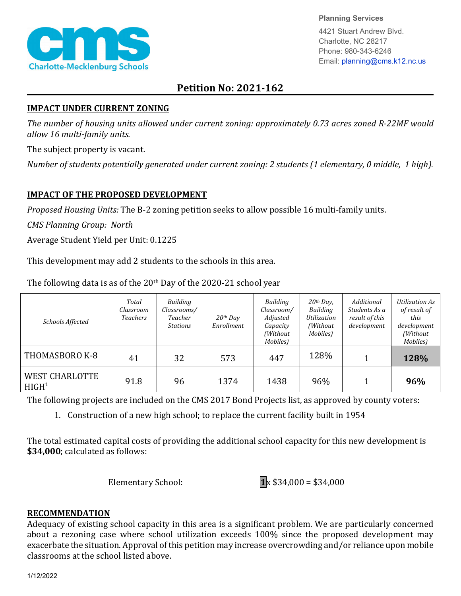

**Planning Services**

4421 Stuart Andrew Blvd. Charlotte, NC 28217 Phone: 980-343-6246 Email: planning@cms.k12.nc.us

# **Petition No: 2021-162**

## **IMPACT UNDER CURRENT ZONING**

*The number of housing units allowed under current zoning: approximately 0.73 acres zoned R-22MF would allow 16 multi-family units.*

The subject property is vacant.

*Number of students potentially generated under current zoning: 2 students (1 elementary, 0 middle, 1 high).*

# **IMPACT OF THE PROPOSED DEVELOPMENT**

*Proposed Housing Units:* The B-2 zoning petition seeks to allow possible 16 multi-family units.

*CMS Planning Group: North*

Average Student Yield per Unit: 0.1225

This development may add 2 students to the schools in this area.

| Schools Affected                             | Total<br>Classroom<br>Teachers | Building<br>Classrooms/<br>Teacher<br><b>Stations</b> | $20th$ Day<br>Enrollment | Building<br>Classroom/<br>Adjusted<br>Capacity<br>(Without<br>Mobiles) | $20th$ Day,<br>Building<br>Utilization<br>(Without<br>Mobiles) | Additional<br>Students As a<br>result of this<br>development | Utilization As<br>of result of<br>this<br>development<br>(Without<br>Mobiles) |
|----------------------------------------------|--------------------------------|-------------------------------------------------------|--------------------------|------------------------------------------------------------------------|----------------------------------------------------------------|--------------------------------------------------------------|-------------------------------------------------------------------------------|
| THOMASBORO K-8                               | 41                             | 32                                                    | 573                      | 447                                                                    | 128%                                                           |                                                              | 128%                                                                          |
| <b>WEST CHARLOTTE</b><br>H I GH <sup>1</sup> | 91.8                           | 96                                                    | 1374                     | 1438                                                                   | 96%                                                            |                                                              | 96%                                                                           |

The following data is as of the  $20<sup>th</sup>$  Day of the 2020-21 school year

The following projects are included on the CMS 2017 Bond Projects list, as approved by county voters:

1. Construction of a new high school; to replace the current facility built in 1954

The total estimated capital costs of providing the additional school capacity for this new development is **\$34,000**; calculated as follows:

Elementary School:  $1_x$  \$34,000 = \$34,000

## **RECOMMENDATION**

Adequacy of existing school capacity in this area is a significant problem. We are particularly concerned about a rezoning case where school utilization exceeds 100% since the proposed development may exacerbate the situation. Approval of this petition may increase overcrowding and/or reliance upon mobile classrooms at the school listed above.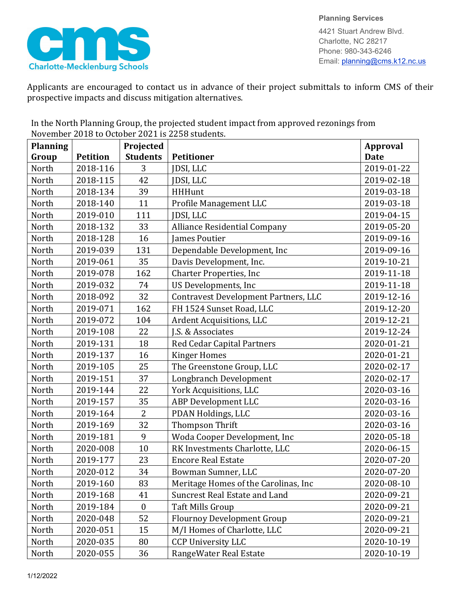

**Planning Services** 4421 Stuart Andrew Blvd. Charlotte, NC 28217 Phone: 980-343-6246 Email: planning@cms.k12.nc.us

Applicants are encouraged to contact us in advance of their project submittals to inform CMS of their prospective impacts and discuss mitigation alternatives.

| <b>Planning</b> |                 | Projected        |                                             | <b>Approval</b> |
|-----------------|-----------------|------------------|---------------------------------------------|-----------------|
| Group           | <b>Petition</b> | <b>Students</b>  | <b>Petitioner</b>                           | <b>Date</b>     |
| North           | 2018-116        | 3                | JDSI, LLC                                   | 2019-01-22      |
| North           | 2018-115        | 42               | JDSI, LLC                                   | 2019-02-18      |
| North           | 2018-134        | 39               | <b>HHHunt</b>                               | 2019-03-18      |
| North           | 2018-140        | 11               | Profile Management LLC                      | 2019-03-18      |
| North           | 2019-010        | 111              | JDSI, LLC                                   | 2019-04-15      |
| North           | 2018-132        | 33               | <b>Alliance Residential Company</b>         | 2019-05-20      |
| North           | 2018-128        | 16               | James Poutier                               | 2019-09-16      |
| North           | 2019-039        | 131              | Dependable Development, Inc.                | 2019-09-16      |
| North           | 2019-061        | 35               | Davis Development, Inc.                     | 2019-10-21      |
| North           | 2019-078        | 162              | <b>Charter Properties, Inc</b>              | 2019-11-18      |
| North           | 2019-032        | 74               | US Developments, Inc                        | 2019-11-18      |
| North           | 2018-092        | 32               | <b>Contravest Development Partners, LLC</b> | 2019-12-16      |
| North           | 2019-071        | 162              | FH 1524 Sunset Road, LLC                    | 2019-12-20      |
| North           | 2019-072        | 104              | Ardent Acquisitions, LLC                    | 2019-12-21      |
| North           | 2019-108        | 22               | J.S. & Associates                           | 2019-12-24      |
| North           | 2019-131        | 18               | <b>Red Cedar Capital Partners</b>           | 2020-01-21      |
| North           | 2019-137        | 16               | <b>Kinger Homes</b>                         | 2020-01-21      |
| North           | 2019-105        | 25               | The Greenstone Group, LLC                   | 2020-02-17      |
| North           | 2019-151        | 37               | Longbranch Development                      | 2020-02-17      |
| North           | 2019-144        | 22               | York Acquisitions, LLC                      | 2020-03-16      |
| North           | 2019-157        | 35               | <b>ABP Development LLC</b>                  | 2020-03-16      |
| North           | 2019-164        | $\overline{2}$   | PDAN Holdings, LLC                          | 2020-03-16      |
| North           | 2019-169        | 32               | Thompson Thrift                             | 2020-03-16      |
| North           | 2019-181        | 9                | Woda Cooper Development, Inc                | 2020-05-18      |
| North           | 2020-008        | 10               | RK Investments Charlotte, LLC               | 2020-06-15      |
| North           | 2019-177        | 23               | <b>Encore Real Estate</b>                   | 2020-07-20      |
| North           | 2020-012        | 34               | Bowman Sumner, LLC                          | 2020-07-20      |
| North           | 2019-160        | 83               | Meritage Homes of the Carolinas, Inc        | 2020-08-10      |
| North           | 2019-168        | 41               | <b>Suncrest Real Estate and Land</b>        | 2020-09-21      |
| North           | 2019-184        | $\boldsymbol{0}$ | <b>Taft Mills Group</b>                     | 2020-09-21      |
| North           | 2020-048        | 52               | <b>Flournoy Development Group</b>           | 2020-09-21      |
| North           | 2020-051        | 15               | M/I Homes of Charlotte, LLC                 | 2020-09-21      |
| North           | 2020-035        | 80               | <b>CCP University LLC</b>                   | 2020-10-19      |
| North           | 2020-055        | 36               | RangeWater Real Estate                      | 2020-10-19      |

In the North Planning Group, the projected student impact from approved rezonings from November 2018 to October 2021 is 2258 students.